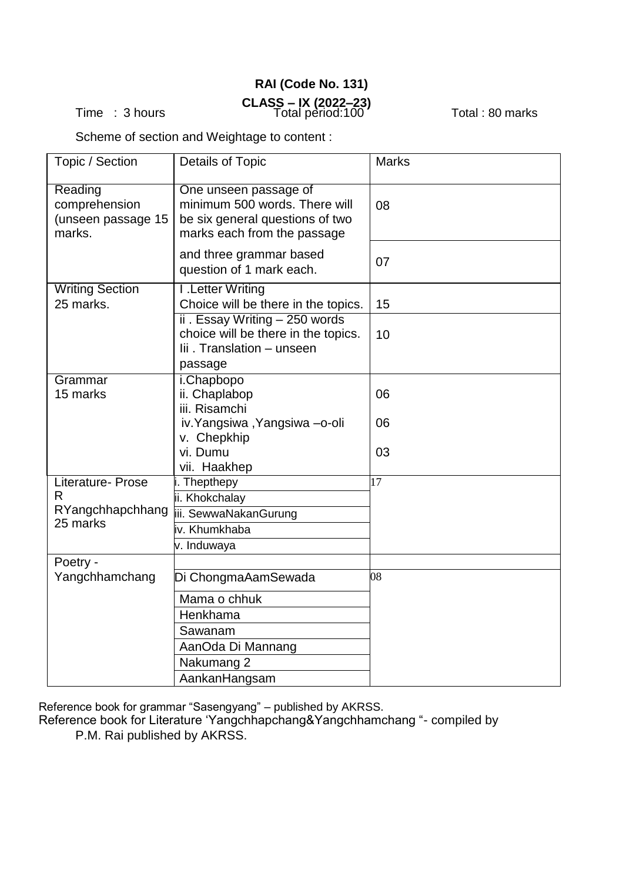## **RAI (Code No. 131) CLASS – IX (2022–23)**  Time : 3 hours Total pèriod:100 ´ Total : 80 marks

Scheme of section and Weightage to content :

| <b>Details of Topic</b>                                                                                                  | <b>Marks</b>                                                                                            |
|--------------------------------------------------------------------------------------------------------------------------|---------------------------------------------------------------------------------------------------------|
| One unseen passage of<br>minimum 500 words. There will<br>be six general questions of two<br>marks each from the passage | 08                                                                                                      |
| and three grammar based<br>question of 1 mark each.                                                                      | 07                                                                                                      |
| <b>I</b> .Letter Writing<br>Choice will be there in the topics.                                                          | 15                                                                                                      |
| choice will be there in the topics.<br>lii. Translation - unseen<br>passage                                              | 10                                                                                                      |
| i.Chapbopo<br>ii. Chaplabop                                                                                              | 06                                                                                                      |
| iv. Yangsiwa, Yangsiwa -o-oli                                                                                            | 06                                                                                                      |
| vi. Dumu<br>vii. Haakhep                                                                                                 | 03                                                                                                      |
| i. Thepthepy<br>ii. Khokchalay<br>iii. SewwaNakanGurung<br>iv. Khumkhaba<br>v. Induwaya                                  | 17                                                                                                      |
|                                                                                                                          | 08                                                                                                      |
| Mama o chhuk<br>Henkhama<br>Sawanam<br>AanOda Di Mannang<br>Nakumang 2                                                   |                                                                                                         |
|                                                                                                                          | ii . Essay Writing $-250$ words<br>iii. Risamchi<br>v. Chepkhip<br>Di ChongmaAamSewada<br>AankanHangsam |

Reference book for grammar "Sasengyang" – published by AKRSS.

Reference book for Literature 'Yangchhapchang&Yangchhamchang "- compiled by P.M. Rai published by AKRSS.